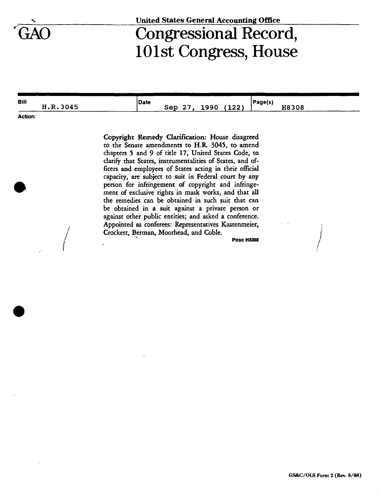

## **United States General Accounting Office**

## Congressional Record, 101st Congress, House

| <b>Bill</b> |          |  | Date |     |     |                | Page(s, |       |
|-------------|----------|--|------|-----|-----|----------------|---------|-------|
|             | H.R.3045 |  |      | sep | 990 | ,,,,,<br>166 L |         | H8308 |

**Action:** 

Copyright Remedy Clarification: House disagreed to the Senate amendments to H.R. 3045, to amend chapters 5 and 9 of title 17, United States Code, to clarify that States, instrumentalities of States, and officers and employees of States acting in their official capacity, are subject to suit in Federal court by any person for infringement of copyright and infringement of exclusive rights in mask works, and that all the remedies can be obtained in such suit that can be obtained in a suit against a private person or against other public entities; and asked a conference. Appointed as conferees: Representatives Kastenmeier, Crockett, Berman, Moorhead, and Coble.

**Page H8308**